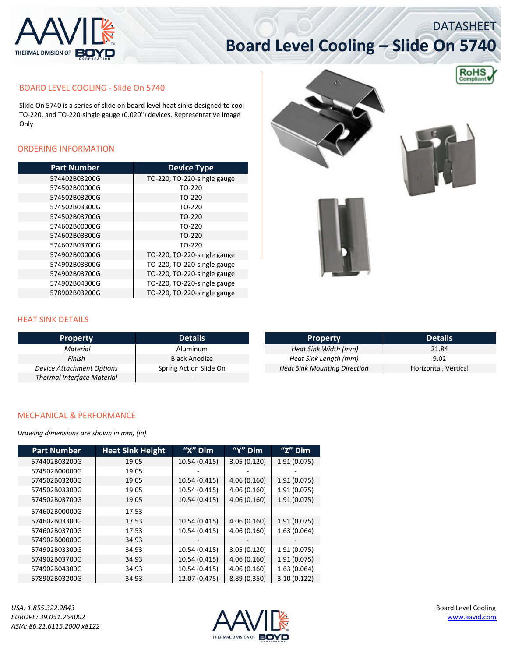

#### BOARD LEVEL COOLING ‐ Slide On 5740

Slide On 5740 is a series of slide on board level heat sinks designed to cool TO‐220, and TO‐220‐single gauge (0.020") devices. Representative Image Only

#### ORDERING INFORMATION

| <b>Part Number</b> | <b>Device Type</b>          |
|--------------------|-----------------------------|
| 574402B03200G      | TO-220, TO-220-single gauge |
| 574502B00000G      | TO-220                      |
| 574502B03200G      | TO-220                      |
| 574502B03300G      | TO-220                      |
| 574502B03700G      | TO-220                      |
| 574602B00000G      | TO-220                      |
| 574602B03300G      | TO-220                      |
| 574602B03700G      | TO-220                      |
| 574902B00000G      | TO-220, TO-220-single gauge |
| 574902B03300G      | TO-220, TO-220-single gauge |
| 574902B03700G      | TO-220, TO-220-single gauge |
| 574902B04300G      | TO-220, TO-220-single gauge |
| 578902B03200G      | TO-220, TO-220-single gauge |





DATASHEET

**RoHS** 





| I JINN DETAILJ            |                        |                                     |                      |
|---------------------------|------------------------|-------------------------------------|----------------------|
| <b>Property</b>           | <b>Details</b>         | <b>Property</b>                     | <b>Details</b>       |
| Material                  | Aluminum               | Heat Sink Width (mm)                | 21.84                |
| Finish                    | Black Anodize          | Heat Sink Length (mm)               | 9.02                 |
| Device Attachment Options | Spring Action Slide On | <b>Heat Sink Mounting Direction</b> | Horizontal, Vertical |

#### MECHANICAL & PERFORMANCE

*Thermal Interface Material* ‐

HEAT SINK DETAILS

*Drawing dimensions are shown in mm, (in)*

| <b>Part Number</b> | <b>Heat Sink Height</b> | "X" Dim       | "Y" Dim      | "Z" Dim     |
|--------------------|-------------------------|---------------|--------------|-------------|
| 574402B03200G      | 19.05                   | 10.54 (0.415) | 3.05(0.120)  | 1.91(0.075) |
| 574502B00000G      | 19.05                   |               |              |             |
| 574502B03200G      | 19.05                   | 10.54 (0.415) | 4.06(0.160)  | 1.91(0.075) |
| 574502B03300G      | 19.05                   | 10.54 (0.415) | 4.06(0.160)  | 1.91(0.075) |
| 574502B03700G      | 19.05                   | 10.54 (0.415) | 4.06(0.160)  | 1.91(0.075) |
| 574602B00000G      | 17.53                   |               |              |             |
| 574602B03300G      | 17.53                   | 10.54 (0.415) | 4.06(0.160)  | 1.91(0.075) |
| 574602B03700G      | 17.53                   | 10.54 (0.415) | 4.06(0.160)  | 1.63(0.064) |
| 574902B00000G      | 34.93                   |               |              |             |
| 574902B03300G      | 34.93                   | 10.54 (0.415) | 3.05(0.120)  | 1.91(0.075) |
| 574902B03700G      | 34.93                   | 10.54 (0.415) | 4.06(0.160)  | 1.91(0.075) |
| 574902B04300G      | 34.93                   | 10.54 (0.415) | 4.06(0.160)  | 1.63(0.064) |
| 578902B03200G      | 34.93                   | 12.07 (0.475) | 8.89 (0.350) | 3.10(0.122) |

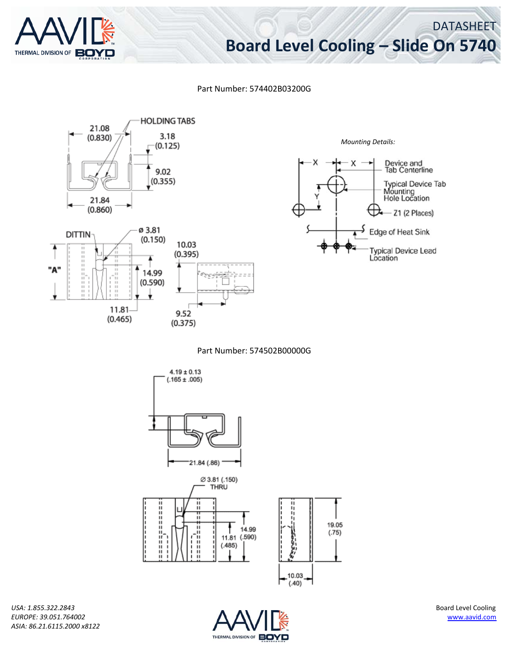

DATASHEET

Part Number: 574402B03200G



*Mounting Details:*Device and<br>Tab Centerline x **Typical Device Tab** Mounting<br>Hole Location Z1 (2 Places) ₩ Edge of Heat Sink **Typical Device Lead** Location

Part Number: 574502B00000G



*USA: 1.855.322.2843* Board Level Cooling *EUROPE: 39.051.764002* www.aavid.com *ASIA: 86.21.6115.2000 x8122*

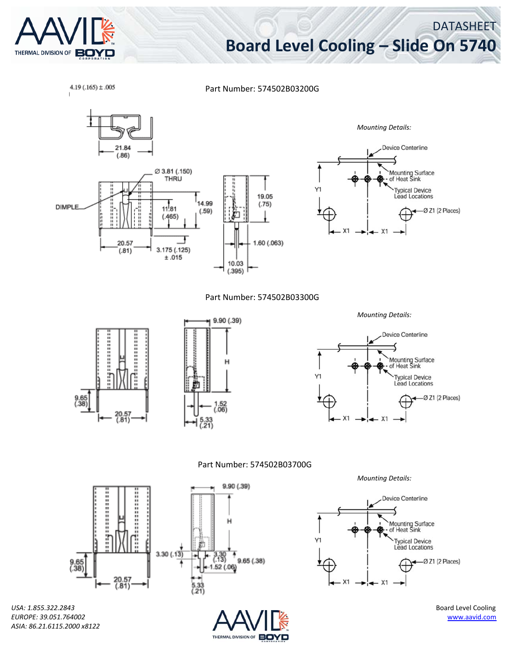

 $4.19(.165) \pm .005$ 

# **Board Level Cooling – Slide On 5740**

DATASHEET

Part Number: 574502B03200G



*ASIA: 86.21.6115.2000 x8122*

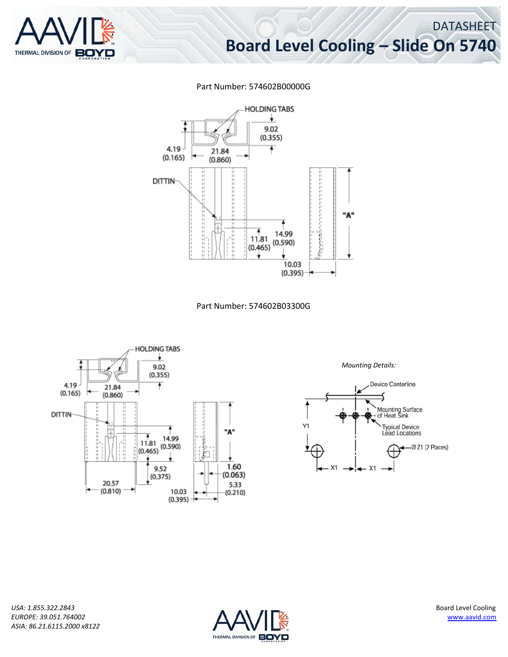

### DATASHEET **Board Level Cooling – Slide On 5740**

### Part Number: 574602B00000G







*Mounting Details:*



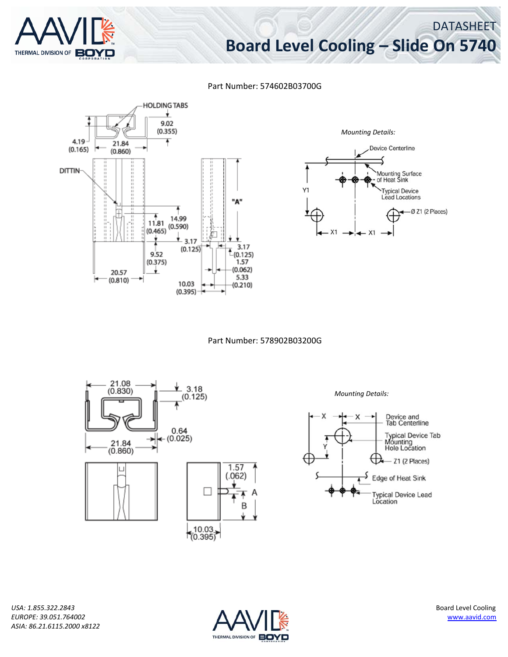

DATASHEET

#### Part Number: 574602B03700G





Part Number: 578902B03200G



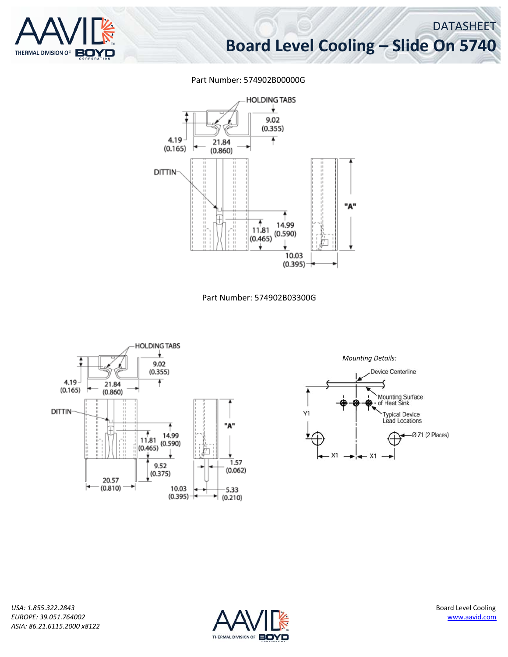

DATASHEET

#### Part Number: 574902B00000G



Part Number: 574902B03300G



*Mounting Details:*



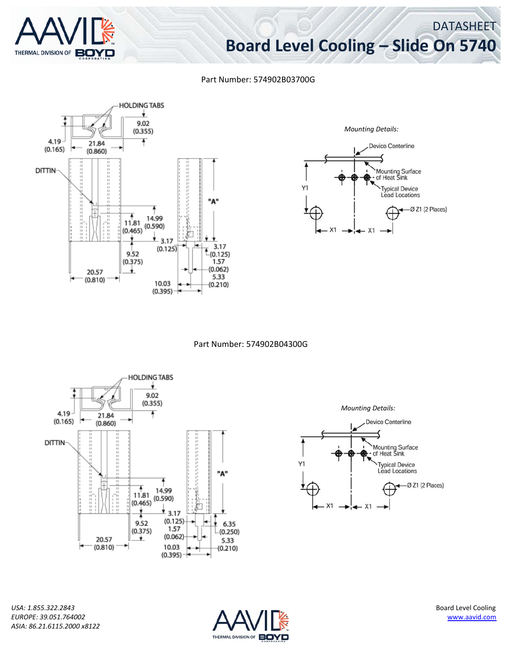

DATASHEET

#### Part Number: 574902B03700G





Part Number: 574902B04300G



Device Centerline Mounting Surface<br>of Heat Sink **Typical Device Lead Locations**  $-ØZ1$  (2 Places)  $X<sub>1</sub>$ 

*Mounting Details:*